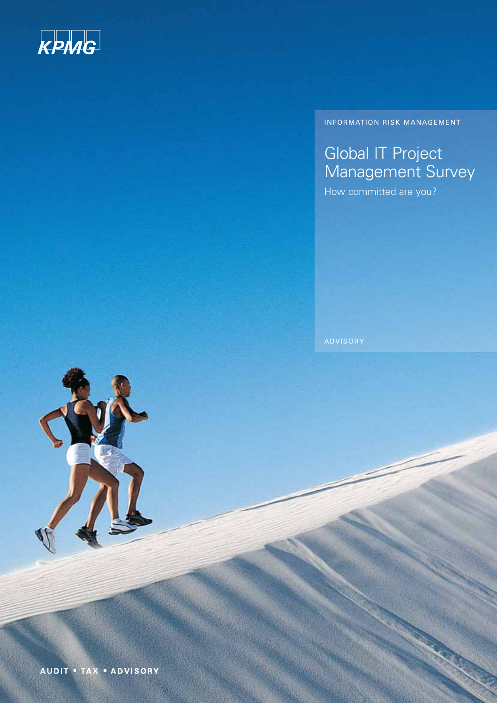

INFORMATION RISK MANAGEMENT

# Global IT Project Management Survey

How committed are you?

ADVISORY

**AUDIT . TAX . ADVISORY**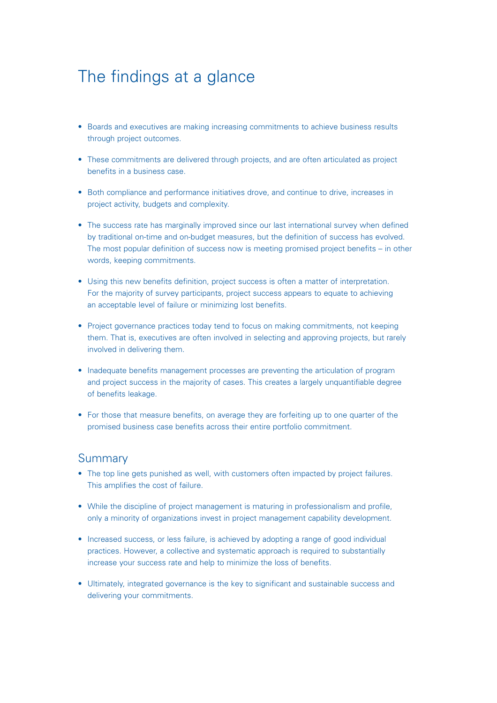# The findings at a glance

- Boards and executives are making increasing commitments to achieve business results through project outcomes.
- These commitments are delivered through projects, and are often articulated as project benefits in a business case.
- Both compliance and performance initiatives drove, and continue to drive, increases in project activity, budgets and complexity.
- The success rate has marginally improved since our last international survey when defined by traditional on-time and on-budget measures, but the definition of success has evolved. The most popular definition of success now is meeting promised project benefits – in other words, keeping commitments.
- Using this new benefits definition, project success is often a matter of interpretation. For the majority of survey participants, project success appears to equate to achieving an acceptable level of failure or minimizing lost benefits.
- Project governance practices today tend to focus on making commitments, not keeping them. That is, executives are often involved in selecting and approving projects, but rarely involved in delivering them.
- Inadequate benefits management processes are preventing the articulation of program and project success in the majority of cases. This creates a largely unquantifiable degree of benefits leakage.
- For those that measure benefits, on average they are forfeiting up to one quarter of the promised business case benefits across their entire portfolio commitment.

## Summary

- The top line gets punished as well, with customers often impacted by project failures. This amplifies the cost of failure.
- While the discipline of project management is maturing in professionalism and profile, only a minority of organizations invest in project management capability development.
- Increased success, or less failure, is achieved by adopting a range of good individual practices. However, a collective and systematic approach is required to substantially increase your success rate and help to minimize the loss of benefits.
- Ultimately, integrated governance is the key to significant and sustainable success and delivering your commitments.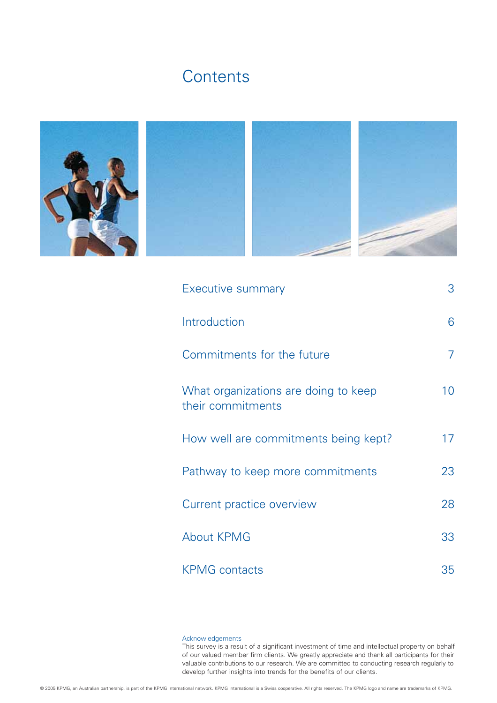# **Contents**



| Executive summary                                         | 3  |
|-----------------------------------------------------------|----|
| Introduction                                              | 6  |
| Commitments for the future                                | 7  |
| What organizations are doing to keep<br>their commitments | 10 |
| How well are commitments being kept?                      | 17 |
| Pathway to keep more commitments                          | 23 |
| Current practice overview                                 | 28 |
| <b>About KPMG</b>                                         | 33 |
| <b>KPMG</b> contacts                                      | 35 |

Acknowledgements

This survey is a result of a significant investment of time and intellectual property on behalf of our valued member firm clients. We greatly appreciate and thank all participants for their valuable contributions to our research. We are committed to conducting research regularly to develop further insights into trends for the benefits of our clients.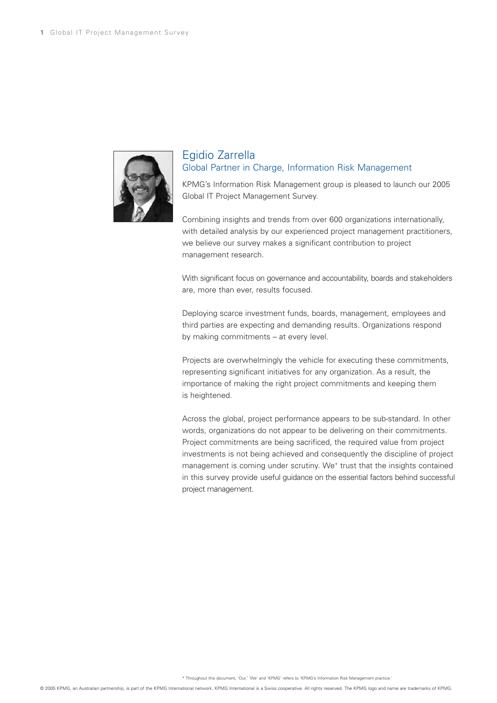

## Egidio Zarrella Global Partner in Charge, Information Risk Management

KPMG's Information Risk Management group is pleased to launch our 2005 Global IT Project Management Survey.

Combining insights and trends from over 600 organizations internationally, with detailed analysis by our experienced project management practitioners, we believe our survey makes a significant contribution to project management research.

With significant focus on governance and accountability, boards and stakeholders are, more than ever, results focused.

Deploying scarce investment funds, boards, management, employees and third parties are expecting and demanding results. Organizations respond by making commitments – at every level.

Projects are overwhelmingly the vehicle for executing these commitments, representing significant initiatives for any organization. As a result, the importance of making the right project commitments and keeping them is heightened.

Across the global, project performance appears to be sub-standard. In other words, organizations do not appear to be delivering on their commitments. Project commitments are being sacrificed, the required value from project investments is not being achieved and consequently the discipline of project management is coming under scrutiny. We\* trust that the insights contained in this survey provide useful guidance on the essential factors behind successful project management.

\* Throughout this document, 'Our,' 'We' and 'KPMG' refers to 'KPMG's Information Risk Management practice.'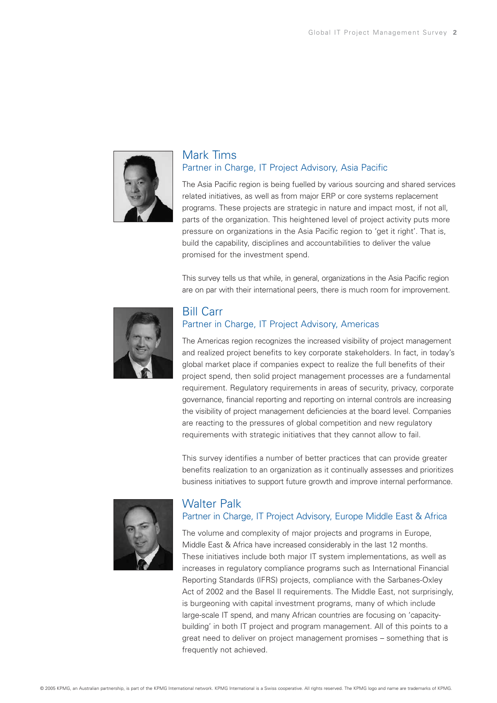

## Mark Tims Partner in Charge, IT Project Advisory, Asia Pacific

The Asia Pacific region is being fuelled by various sourcing and shared services related initiatives, as well as from major ERP or core systems replacement programs. These projects are strategic in nature and impact most, if not all, parts of the organization. This heightened level of project activity puts more pressure on organizations in the Asia Pacific region to 'get it right'. That is, build the capability, disciplines and accountabilities to deliver the value promised for the investment spend.

This survey tells us that while, in general, organizations in the Asia Pacific region are on par with their international peers, there is much room for improvement.



## Bill Carr Partner in Charge, IT Project Advisory, Americas

The Americas region recognizes the increased visibility of project management and realized project benefits to key corporate stakeholders. In fact, in today's global market place if companies expect to realize the full benefits of their project spend, then solid project management processes are a fundamental requirement. Regulatory requirements in areas of security, privacy, corporate governance, financial reporting and reporting on internal controls are increasing the visibility of project management deficiencies at the board level. Companies are reacting to the pressures of global competition and new regulatory requirements with strategic initiatives that they cannot allow to fail.

This survey identifies a number of better practices that can provide greater benefits realization to an organization as it continually assesses and prioritizes business initiatives to support future growth and improve internal performance.



## Walter Palk

## Partner in Charge, IT Project Advisory, Europe Middle East & Africa

The volume and complexity of major projects and programs in Europe, Middle East & Africa have increased considerably in the last 12 months. These initiatives include both major IT system implementations, as well as increases in regulatory compliance programs such as International Financial Reporting Standards (IFRS) projects, compliance with the Sarbanes-Oxley Act of 2002 and the Basel II requirements. The Middle East, not surprisingly, is burgeoning with capital investment programs, many of which include large-scale IT spend, and many African countries are focusing on 'capacitybuilding' in both IT project and program management. All of this points to a great need to deliver on project management promises – something that is frequently not achieved.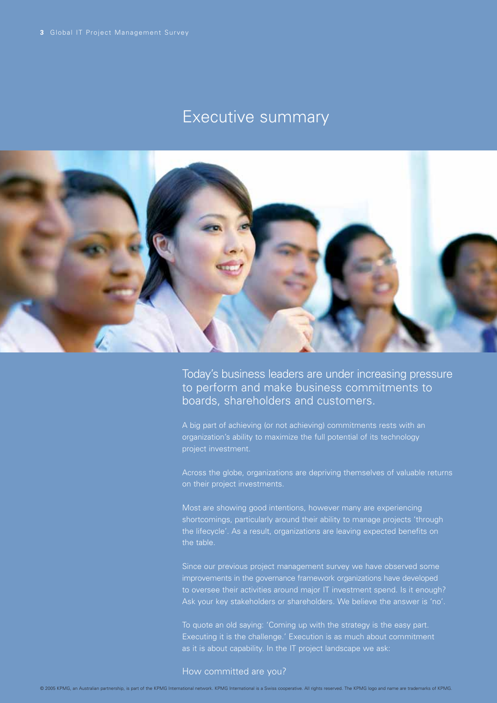## Executive summary

<span id="page-5-0"></span>

Today's business leaders are under increasing pressure to perform and make business commitments to boards, shareholders and customers.

A big part of achieving (or not achieving) commitments rests with an organization's ability to maximize the full potential of its technology project investment.

Across the globe, organizations are depriving themselves of valuable returns on their project investments.

Most are showing good intentions, however many are experiencing shortcomings, particularly around their ability to manage projects 'through the lifecycle'. As a result, organizations are leaving expected benefits on the table.

Since our previous project management survey we have observed some improvements in the governance framework organizations have developed to oversee their activities around major IT investment spend. Is it enough? Ask your key stakeholders or shareholders. We believe the answer is 'no'.

To quote an old saying: 'Coming up with the strategy is the easy part. Executing it is the challenge.' Execution is as much about commitment as it is about capability. In the IT project landscape we ask:

#### How committed are you?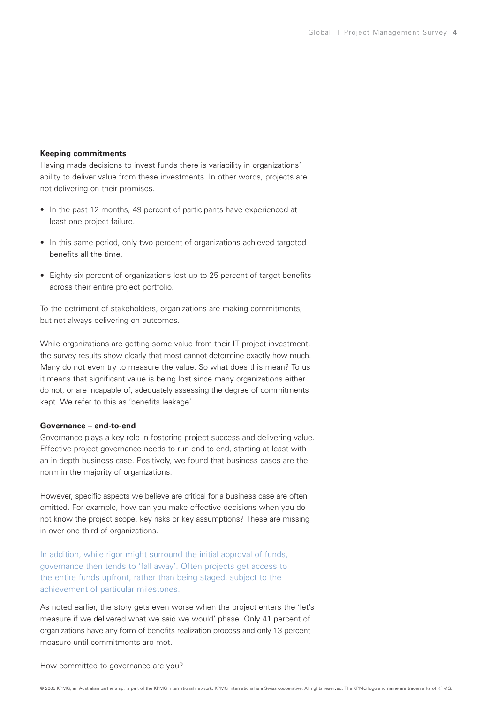#### **Keeping commitments**

Having made decisions to invest funds there is variability in organizations' ability to deliver value from these investments. In other words, projects are not delivering on their promises.

- In the past 12 months, 49 percent of participants have experienced at least one project failure.
- In this same period, only two percent of organizations achieved targeted benefits all the time.
- Eighty-six percent of organizations lost up to 25 percent of target benefits across their entire project portfolio.

To the detriment of stakeholders, organizations are making commitments, but not always delivering on outcomes.

While organizations are getting some value from their IT project investment. the survey results show clearly that most cannot determine exactly how much. Many do not even try to measure the value. So what does this mean? To us it means that significant value is being lost since many organizations either do not, or are incapable of, adequately assessing the degree of commitments kept. We refer to this as 'benefits leakage'.

### **Governance – end-to-end**

Governance plays a key role in fostering project success and delivering value. Effective project governance needs to run end-to-end, starting at least with an in-depth business case. Positively, we found that business cases are the norm in the majority of organizations.

However, specific aspects we believe are critical for a business case are often omitted. For example, how can you make effective decisions when you do not know the project scope, key risks or key assumptions? These are missing in over one third of organizations.

In addition, while rigor might surround the initial approval of funds, governance then tends to 'fall away'. Often projects get access to the entire funds upfront, rather than being staged, subject to the achievement of particular milestones.

As noted earlier, the story gets even worse when the project enters the 'let's measure if we delivered what we said we would' phase. Only 41 percent of organizations have any form of benefits realization process and only 13 percent measure until commitments are met.

#### How committed to governance are you?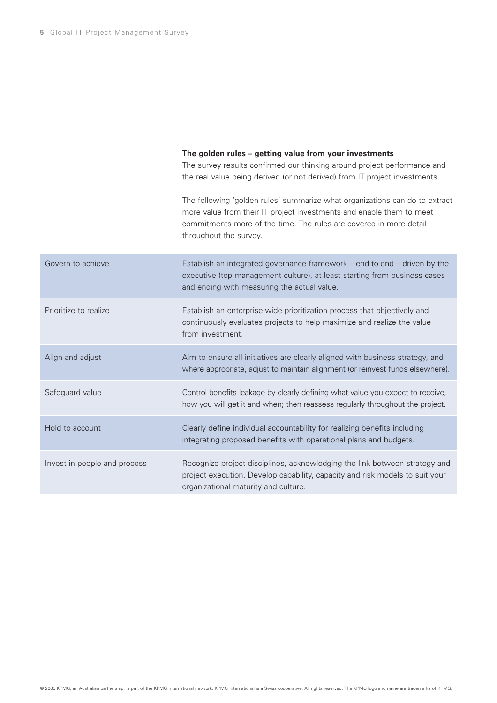### **The golden rules – getting value from your investments**

The survey results confirmed our thinking around project performance and the real value being derived (or not derived) from IT project investments.

The following 'golden rules' summarize what organizations can do to extract more value from their IT project investments and enable them to meet commitments more of the time. The rules are covered in more detail throughout the survey.

| Govern to achieve            | Establish an integrated governance framework – end-to-end – driven by the<br>executive (top management culture), at least starting from business cases<br>and ending with measuring the actual value. |
|------------------------------|-------------------------------------------------------------------------------------------------------------------------------------------------------------------------------------------------------|
| Prioritize to realize        | Establish an enterprise-wide prioritization process that objectively and<br>continuously evaluates projects to help maximize and realize the value<br>from investment.                                |
| Align and adjust             | Aim to ensure all initiatives are clearly aligned with business strategy, and<br>where appropriate, adjust to maintain alignment (or reinvest funds elsewhere).                                       |
| Safeguard value              | Control benefits leakage by clearly defining what value you expect to receive,<br>how you will get it and when; then reassess regularly throughout the project.                                       |
| Hold to account              | Clearly define individual accountability for realizing benefits including<br>integrating proposed benefits with operational plans and budgets.                                                        |
| Invest in people and process | Recognize project disciplines, acknowledging the link between strategy and<br>project execution. Develop capability, capacity and risk models to suit your<br>organizational maturity and culture.    |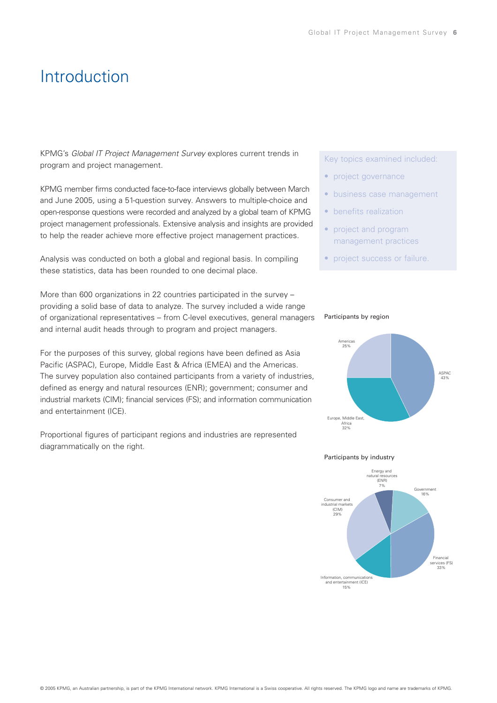# <span id="page-8-0"></span>**Introduction**

KPMG's Global IT Project Management Survey explores current trends in program and project management.

KPMG member firms conducted face-to-face interviews globally between March and June 2005, using a 51-question survey. Answers to multiple-choice and open-response questions were recorded and analyzed by a global team of KPMG project management professionals. Extensive analysis and insights are provided to help the reader achieve more effective project management practices.

Analysis was conducted on both a global and regional basis. In compiling these statistics, data has been rounded to one decimal place.

More than 600 organizations in 22 countries participated in the survey – providing a solid base of data to analyze. The survey included a wide range of organizational representatives – from C-level executives, general managers and internal audit heads through to program and project managers.

For the purposes of this survey, global regions have been defined as Asia Pacific (ASPAC), Europe, Middle East & Africa (EMEA) and the Americas. The survey population also contained participants from a variety of industries, defined as energy and natural resources (ENR); government; consumer and industrial markets (CIM); financial services (FS); and information communication and entertainment (ICE).

Proportional figures of participant regions and industries are represented diagrammatically on the right.

Key topics examined included:

- project governance
- business case management
- benefits realization
- project and program management practices
- project success or failure.

#### Participants by region



#### Participants by industry

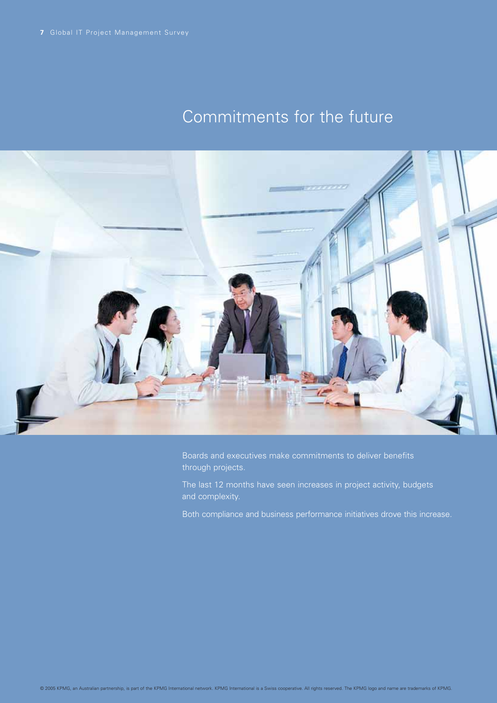# Commitments for the future

<span id="page-9-0"></span>

Boards and executives make commitments to deliver benefits through projects.

The last 12 months have seen increases in project activity, budgets and complexity.

Both compliance and business performance initiatives drove this increase.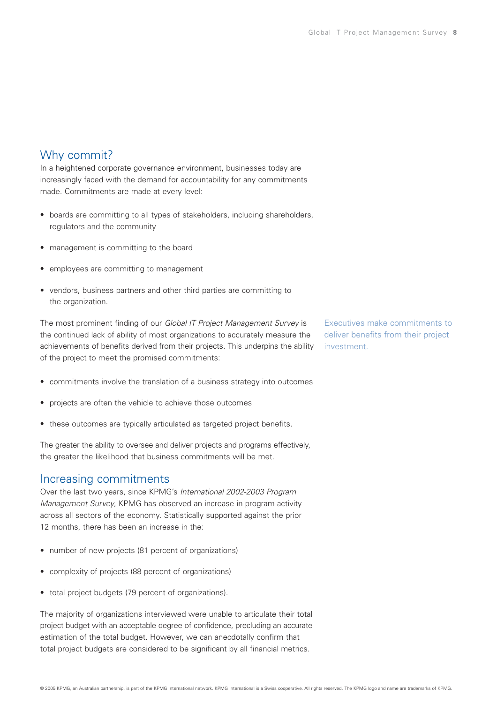## Why commit?

In a heightened corporate governance environment, businesses today are increasingly faced with the demand for accountability for any commitments made. Commitments are made at every level:

- boards are committing to all types of stakeholders, including shareholders, regulators and the community
- management is committing to the board
- employees are committing to management
- vendors, business partners and other third parties are committing to the organization.

The most prominent finding of our Global IT Project Management Survey is the continued lack of ability of most organizations to accurately measure the achievements of benefits derived from their projects. This underpins the ability of the project to meet the promised commitments:

- commitments involve the translation of a business strategy into outcomes
- projects are often the vehicle to achieve those outcomes
- these outcomes are typically articulated as targeted project benefits.

The greater the ability to oversee and deliver projects and programs effectively, the greater the likelihood that business commitments will be met.

### Increasing commitments

Over the last two years, since KPMG's International 2002-2003 Program Management Survey, KPMG has observed an increase in program activity across all sectors of the economy. Statistically supported against the prior 12 months, there has been an increase in the:

- number of new projects (81 percent of organizations)
- complexity of projects (88 percent of organizations)
- total project budgets (79 percent of organizations).

The majority of organizations interviewed were unable to articulate their total project budget with an acceptable degree of confidence, precluding an accurate estimation of the total budget. However, we can anecdotally confirm that total project budgets are considered to be significant by all financial metrics.

Executives make commitments to deliver benefits from their project investment.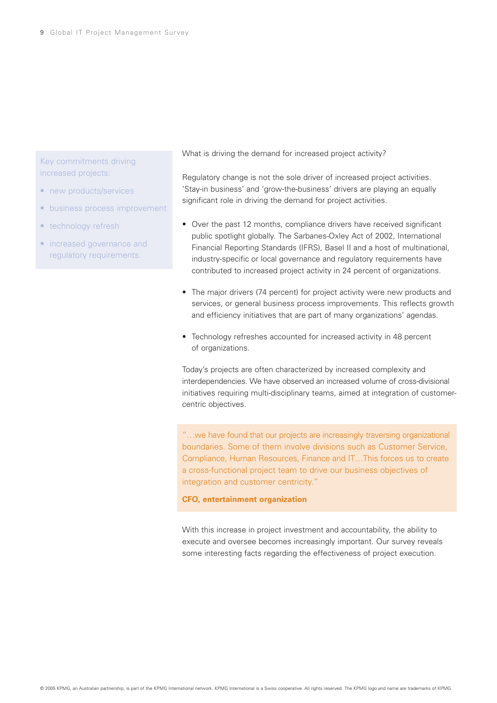### Key commitments driving increased projects:

- new products/services
- business process improvement
- technology refresh
- increased governance and regulatory requirements.

What is driving the demand for increased project activity?

Regulatory change is not the sole driver of increased project activities. 'Stay-in business' and 'grow-the-business' drivers are playing an equally significant role in driving the demand for project activities.

- Over the past 12 months, compliance drivers have received significant public spotlight globally. The Sarbanes-Oxley Act of 2002, International Financial Reporting Standards (IFRS), Basel II and a host of multinational, industry-specific or local governance and regulatory requirements have contributed to increased project activity in 24 percent of organizations.
- The major drivers (74 percent) for project activity were new products and services, or general business process improvements. This reflects growth and efficiency initiatives that are part of many organizations' agendas.
- Technology refreshes accounted for increased activity in 48 percent of organizations.

Today's projects are often characterized by increased complexity and interdependencies. We have observed an increased volume of cross-divisional initiatives requiring multi-disciplinary teams, aimed at integration of customercentric objectives.

"…we have found that our projects are increasingly traversing organizational boundaries. Some of them involve divisions such as Customer Service, Compliance, Human Resources, Finance and IT…This forces us to create a cross-functional project team to drive our business objectives of integration and customer centricity."

### **CFO, entertainment organization**

With this increase in project investment and accountability, the ability to execute and oversee becomes increasingly important. Our survey reveals some interesting facts regarding the effectiveness of project execution.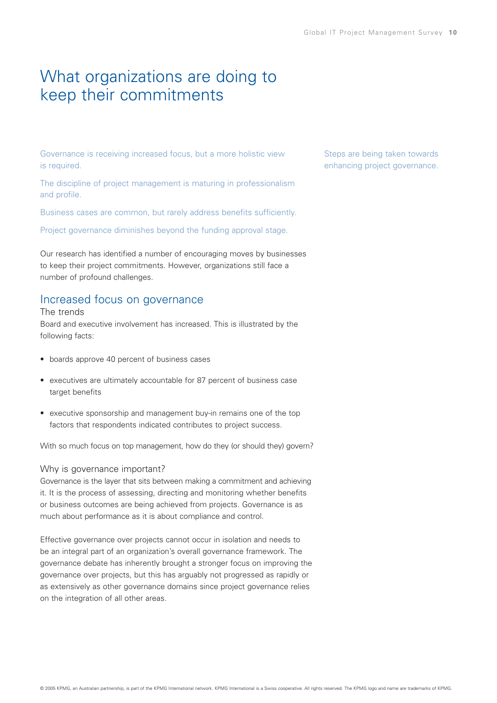## <span id="page-12-0"></span>What organizations are doing to keep their commitments

Governance is receiving increased focus, but a more holistic view is required.

The discipline of project management is maturing in professionalism and profile.

Business cases are common, but rarely address benefits sufficiently.

Project governance diminishes beyond the funding approval stage.

Our research has identified a number of encouraging moves by businesses to keep their project commitments. However, organizations still face a number of profound challenges.

## Increased focus on governance

The trends Board and executive involvement has increased. This is illustrated by the following facts:

- boards approve 40 percent of business cases
- executives are ultimately accountable for 87 percent of business case target benefits
- executive sponsorship and management buy-in remains one of the top factors that respondents indicated contributes to project success.

With so much focus on top management, how do they (or should they) govern?

### Why is governance important?

Governance is the layer that sits between making a commitment and achieving it. It is the process of assessing, directing and monitoring whether benefits or business outcomes are being achieved from projects. Governance is as much about performance as it is about compliance and control.

Effective governance over projects cannot occur in isolation and needs to be an integral part of an organization's overall governance framework. The governance debate has inherently brought a stronger focus on improving the governance over projects, but this has arguably not progressed as rapidly or as extensively as other governance domains since project governance relies on the integration of all other areas.

Steps are being taken towards enhancing project governance.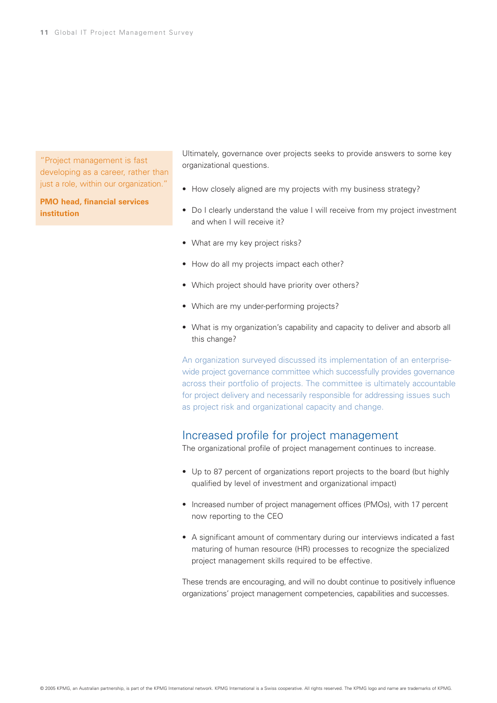"Project management is fast developing as a career, rather than just a role, within our organization."

**PMO head, financial services institution**

Ultimately, governance over projects seeks to provide answers to some key organizational questions.

- How closely aligned are my projects with my business strategy?
- Do I clearly understand the value I will receive from my project investment and when I will receive it?
- What are my key project risks?
- How do all my projects impact each other?
- Which project should have priority over others?
- Which are my under-performing projects?
- What is my organization's capability and capacity to deliver and absorb all this change?

An organization surveyed discussed its implementation of an enterprisewide project governance committee which successfully provides governance across their portfolio of projects. The committee is ultimately accountable for project delivery and necessarily responsible for addressing issues such as project risk and organizational capacity and change.

## Increased profile for project management

The organizational profile of project management continues to increase.

- Up to 87 percent of organizations report projects to the board (but highly qualified by level of investment and organizational impact)
- Increased number of project management offices (PMOs), with 17 percent now reporting to the CEO
- A significant amount of commentary during our interviews indicated a fast maturing of human resource (HR) processes to recognize the specialized project management skills required to be effective.

These trends are encouraging, and will no doubt continue to positively influence organizations' project management competencies, capabilities and successes.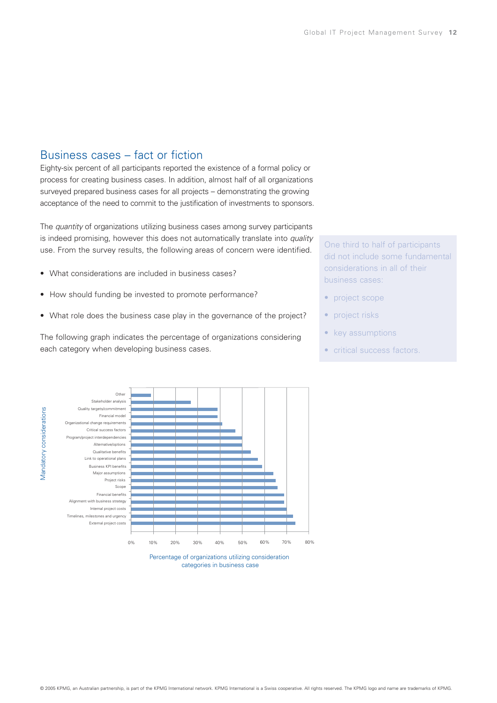## Business cases – fact or fiction

Eighty-six percent of all participants reported the existence of a formal policy or process for creating business cases. In addition, almost half of all organizations surveyed prepared business cases for all projects – demonstrating the growing acceptance of the need to commit to the justification of investments to sponsors.

The *quantity* of organizations utilizing business cases among survey participants is indeed promising, however this does not automatically translate into quality use. From the survey results, the following areas of concern were identified.

• What considerations are included in business cases?

Mandatory considerations

Mandatory considerations

- How should funding be invested to promote performance?
- What role does the business case play in the governance of the project?

The following graph indicates the percentage of organizations considering each category when developing business cases.





One third to half of participants did not include some fundamental considerations in all of their business cases:

- project scope
- project risks
- key assumptions
- critical success factors.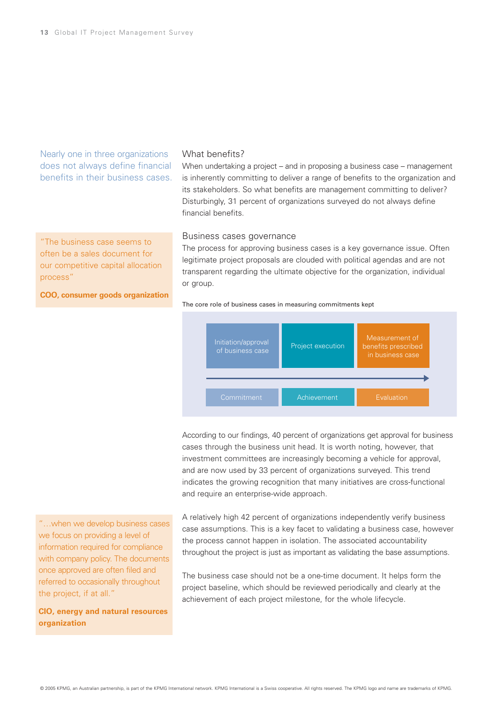Nearly one in three organizations does not always define financial benefits in their business cases.

"The business case seems to often be a sales document for our competitive capital allocation

**COO, consumer goods organization**

process"

### What benefits?

When undertaking a project – and in proposing a business case – management is inherently committing to deliver a range of benefits to the organization and its stakeholders. So what benefits are management committing to deliver? Disturbingly, 31 percent of organizations surveyed do not always define financial benefits.

## Business cases governance

The process for approving business cases is a key governance issue. Often legitimate project proposals are clouded with political agendas and are not transparent regarding the ultimate objective for the organization, individual or group.

#### The core role of business cases in measuring commitments kept



According to our findings, 40 percent of organizations get approval for business cases through the business unit head. It is worth noting, however, that investment committees are increasingly becoming a vehicle for approval, and are now used by 33 percent of organizations surveyed. This trend indicates the growing recognition that many initiatives are cross-functional and require an enterprise-wide approach.

A relatively high 42 percent of organizations independently verify business case assumptions. This is a key facet to validating a business case, however the process cannot happen in isolation. The associated accountability throughout the project is just as important as validating the base assumptions.

The business case should not be a one-time document. It helps form the project baseline, which should be reviewed periodically and clearly at the achievement of each project milestone, for the whole lifecycle.

"…when we develop business cases we focus on providing a level of information required for compliance with company policy. The documents once approved are often filed and referred to occasionally throughout the project, if at all."

**CIO, energy and natural resources organization**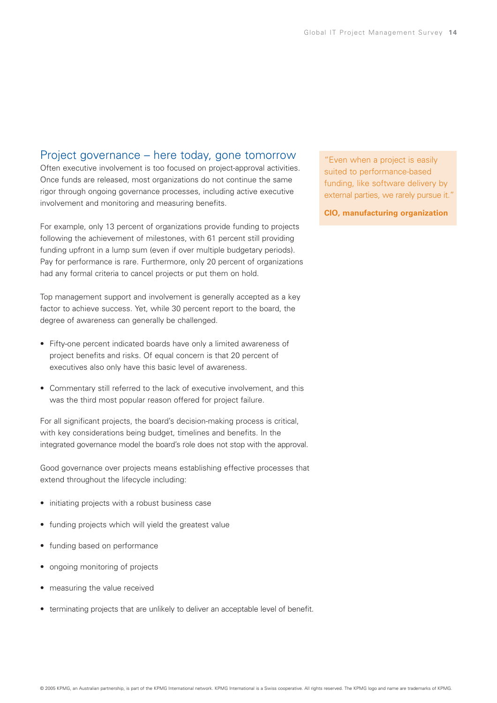## Project governance – here today, gone tomorrow

Often executive involvement is too focused on project-approval activities. Once funds are released, most organizations do not continue the same rigor through ongoing governance processes, including active executive involvement and monitoring and measuring benefits.

For example, only 13 percent of organizations provide funding to projects following the achievement of milestones, with 61 percent still providing funding upfront in a lump sum (even if over multiple budgetary periods). Pay for performance is rare. Furthermore, only 20 percent of organizations had any formal criteria to cancel projects or put them on hold.

Top management support and involvement is generally accepted as a key factor to achieve success. Yet, while 30 percent report to the board, the degree of awareness can generally be challenged.

- Fifty-one percent indicated boards have only a limited awareness of project benefits and risks. Of equal concern is that 20 percent of executives also only have this basic level of awareness.
- Commentary still referred to the lack of executive involvement, and this was the third most popular reason offered for project failure.

For all significant projects, the board's decision-making process is critical, with key considerations being budget, timelines and benefits. In the integrated governance model the board's role does not stop with the approval.

Good governance over projects means establishing effective processes that extend throughout the lifecycle including:

- initiating projects with a robust business case
- funding projects which will yield the greatest value
- funding based on performance
- ongoing monitoring of projects
- measuring the value received
- terminating projects that are unlikely to deliver an acceptable level of benefit.

"Even when a project is easily suited to performance-based funding, like software delivery by external parties, we rarely pursue it."

**CIO, manufacturing organization**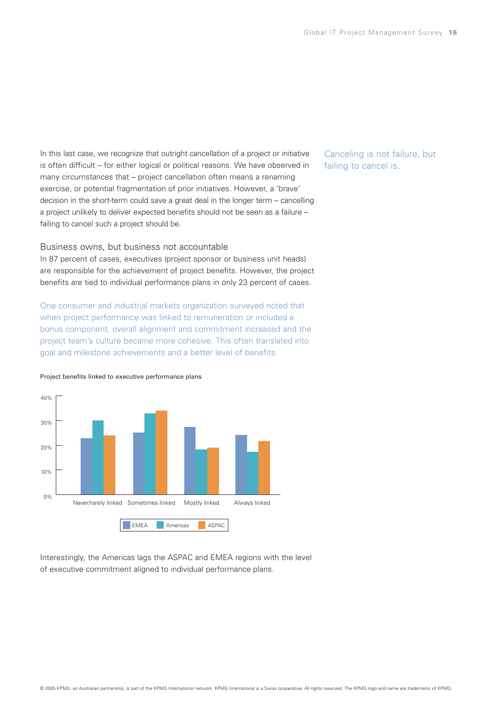In this last case, we recognize that outright cancellation of a project or initiative is often difficult – for either logical or political reasons. We have observed in many circumstances that – project cancellation often means a renaming exercise, or potential fragmentation of prior initiatives. However, a 'brave' decision in the short-term could save a great deal in the longer term – cancelling a project unlikely to deliver expected benefits should not be seen as a failure – failing to cancel such a project should be.

Business owns, but business not accountable

In 87 percent of cases, executives (project sponsor or business unit heads) are responsible for the achievement of project benefits. However, the project benefits are tied to individual performance plans in only 23 percent of cases.

One consumer and industrial markets organization surveyed noted that when project performance was linked to remuneration or included a bonus component, overall alignment and commitment increased and the project team's culture became more cohesive. This often translated into goal and milestone achievements and a better level of benefits.



Project benefits linked to executive performance plans

Interestingly, the Americas lags the ASPAC and EMEA regions with the level of executive commitment aligned to individual performance plans.

Canceling is not failure, but failing to cancel is.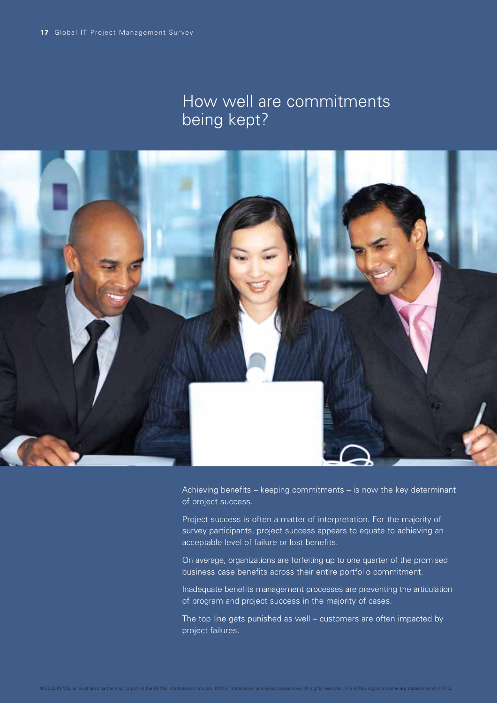# How well are commitments being kept?

<span id="page-19-0"></span>

Achieving benefits – keeping commitments – is now the key determinant of project success.

Project success is often a matter of interpretation. For the majority of survey participants, project success appears to equate to achieving an acceptable level of failure or lost benefits.

On average, organizations are forfeiting up to one quarter of the promised business case benefits across their entire portfolio commitment.

Inadequate benefits management processes are preventing the articulation of program and project success in the majority of cases.

The top line gets punished as well – customers are often impacted by project failures.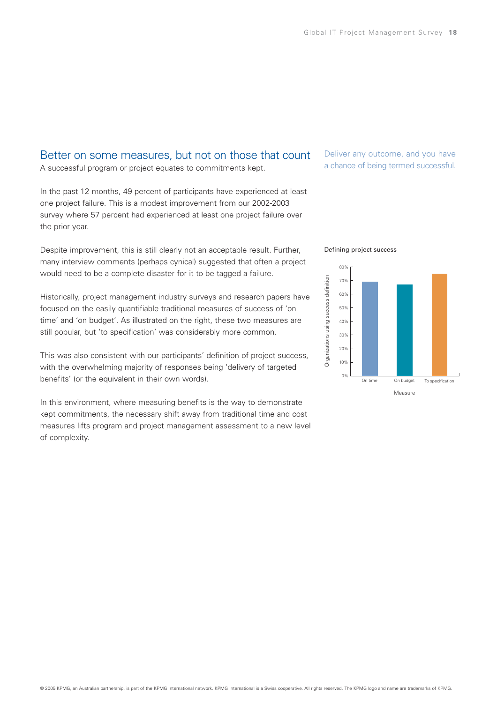## Better on some measures, but not on those that count

A successful program or project equates to commitments kept.

In the past 12 months, 49 percent of participants have experienced at least one project failure. This is a modest improvement from our 2002-2003 survey where 57 percent had experienced at least one project failure over the prior year.

Despite improvement, this is still clearly not an acceptable result. Further, many interview comments (perhaps cynical) suggested that often a project would need to be a complete disaster for it to be tagged a failure.

Historically, project management industry surveys and research papers have focused on the easily quantifiable traditional measures of success of 'on time' and 'on budget'. As illustrated on the right, these two measures are still popular, but 'to specification' was considerably more common.

This was also consistent with our participants' definition of project success, with the overwhelming majority of responses being 'delivery of targeted benefits' (or the equivalent in their own words).

In this environment, where measuring benefits is the way to demonstrate kept commitments, the necessary shift away from traditional time and cost measures lifts program and project management assessment to a new level of complexity.

Deliver any outcome, and you have a chance of being termed successful.

#### Defining project success

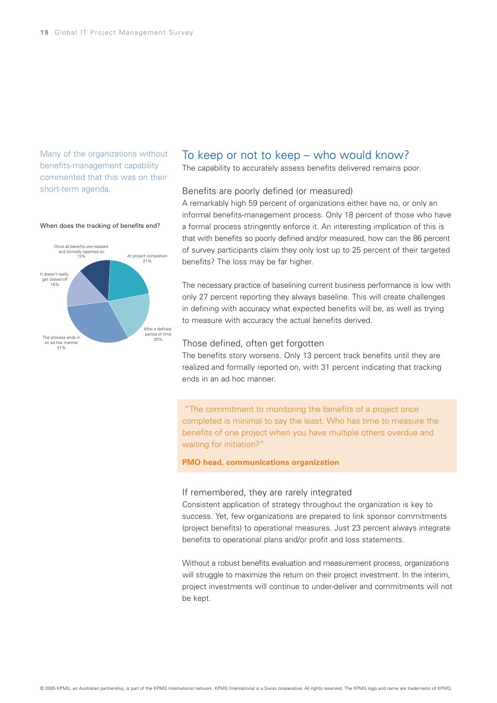Many of the organizations without benefits-management capability commented that this was on their short-term agenda.

#### When does the tracking of benefits end?



## To keep or not to keep – who would know?

The capability to accurately assess benefits delivered remains poor.

#### Benefits are poorly defined (or measured)

A remarkably high 59 percent of organizations either have no, or only an informal benefits-management process. Only 18 percent of those who have a formal process stringently enforce it. An interesting implication of this is that with benefits so poorly defined and/or measured, how can the 86 percent of survey participants claim they only lost up to 25 percent of their targeted benefits? The loss may be far higher.

The necessary practice of baselining current business performance is low with only 27 percent reporting they always baseline. This will create challenges in defining with accuracy what expected benefits will be, as well as trying to measure with accuracy the actual benefits derived.

#### Those defined, often get forgotten

The benefits story worsens. Only 13 percent track benefits until they are realized and formally reported on, with 31 percent indicating that tracking ends in an ad hoc manner.

"The commitment to monitoring the benefits of a project once completed is minimal to say the least. Who has time to measure the benefits of one project when you have multiple others overdue and waiting for initiation?"

**PMO head, communications organization**

### If remembered, they are rarely integrated

Consistent application of strategy throughout the organization is key to success. Yet, few organizations are prepared to link sponsor commitments (project benefits) to operational measures. Just 23 percent always integrate benefits to operational plans and/or profit and loss statements.

Without a robust benefits evaluation and measurement process, organizations will struggle to maximize the return on their project investment. In the interim, project investments will continue to under-deliver and commitments will not be kept.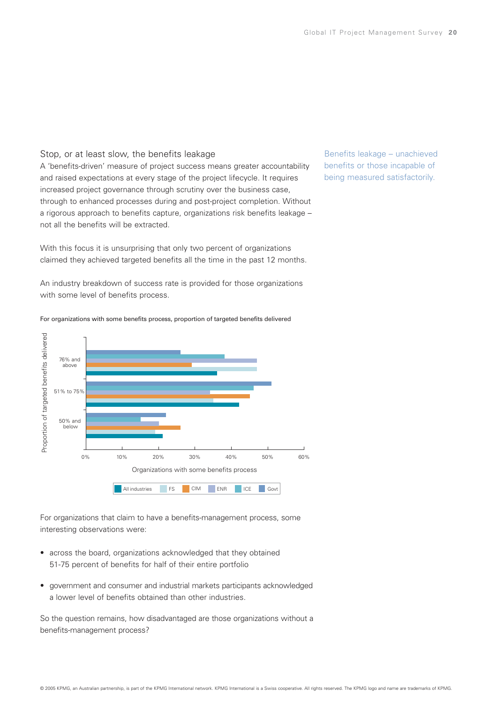### Stop, or at least slow, the benefits leakage

A 'benefits-driven' measure of project success means greater accountability and raised expectations at every stage of the project lifecycle. It requires increased project governance through scrutiny over the business case, through to enhanced processes during and post-project completion. Without a rigorous approach to benefits capture, organizations risk benefits leakage – not all the benefits will be extracted.

With this focus it is unsurprising that only two percent of organizations claimed they achieved targeted benefits all the time in the past 12 months.

An industry breakdown of success rate is provided for those organizations with some level of benefits process.

#### For organizations with some benefits process, proportion of targeted benefits delivered



For organizations that claim to have a benefits-management process, some interesting observations were:

- across the board, organizations acknowledged that they obtained 51-75 percent of benefits for half of their entire portfolio
- government and consumer and industrial markets participants acknowledged a lower level of benefits obtained than other industries.

So the question remains, how disadvantaged are those organizations without a benefits-management process?

Benefits leakage – unachieved benefits or those incapable of being measured satisfactorily.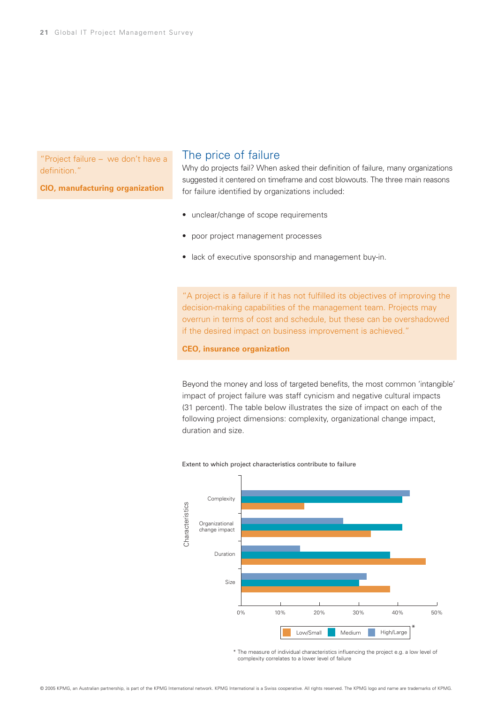"Project failure – we don't have a definition."

**CIO, manufacturing organization**

## The price of failure

Why do projects fail? When asked their definition of failure, many organizations suggested it centered on timeframe and cost blowouts. The three main reasons for failure identified by organizations included:

- unclear/change of scope requirements
- poor project management processes
- lack of executive sponsorship and management buy-in.

"A project is a failure if it has not fulfilled its objectives of improving the decision-making capabilities of the management team. Projects may overrun in terms of cost and schedule, but these can be overshadowed if the desired impact on business improvement is achieved."

**CEO, insurance organization**

Beyond the money and loss of targeted benefits, the most common 'intangible' impact of project failure was staff cynicism and negative cultural impacts (31 percent). The table below illustrates the size of impact on each of the following project dimensions: complexity, organizational change impact, duration and size.

#### Extent to which project characteristics contribute to failure



\* The measure of individual characteristics influencing the project e.g. a low level of complexity correlates to a lower level of failure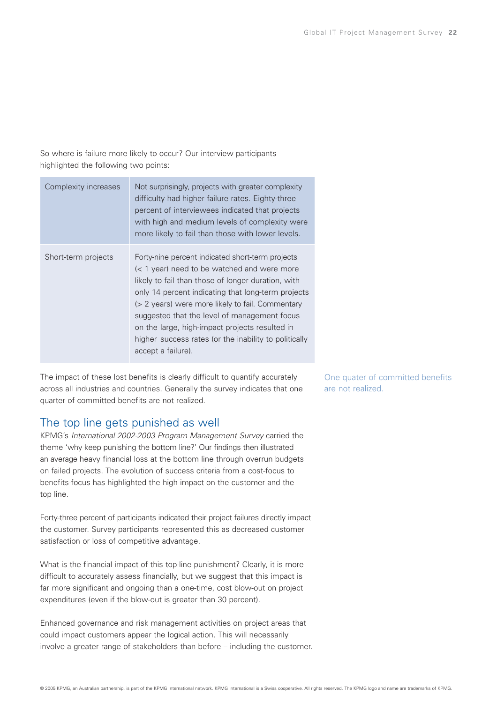So where is failure more likely to occur? Our interview participants highlighted the following two points:

| Complexity increases | Not surprisingly, projects with greater complexity<br>difficulty had higher failure rates. Eighty-three<br>percent of interviewees indicated that projects<br>with high and medium levels of complexity were<br>more likely to fail than those with lower levels.                                                                                                                                                                                |
|----------------------|--------------------------------------------------------------------------------------------------------------------------------------------------------------------------------------------------------------------------------------------------------------------------------------------------------------------------------------------------------------------------------------------------------------------------------------------------|
| Short-term projects  | Forty-nine percent indicated short-term projects<br>(< 1 year) need to be watched and were more<br>likely to fail than those of longer duration, with<br>only 14 percent indicating that long-term projects<br>(> 2 years) were more likely to fail. Commentary<br>suggested that the level of management focus<br>on the large, high-impact projects resulted in<br>higher success rates (or the inability to politically<br>accept a failure). |

The impact of these lost benefits is clearly difficult to quantify accurately across all industries and countries. Generally the survey indicates that one quarter of committed benefits are not realized.

## The top line gets punished as well

KPMG's International 2002-2003 Program Management Survey carried the theme 'why keep punishing the bottom line?' Our findings then illustrated an average heavy financial loss at the bottom line through overrun budgets on failed projects. The evolution of success criteria from a cost-focus to benefits-focus has highlighted the high impact on the customer and the top line.

Forty-three percent of participants indicated their project failures directly impact the customer. Survey participants represented this as decreased customer satisfaction or loss of competitive advantage.

What is the financial impact of this top-line punishment? Clearly, it is more difficult to accurately assess financially, but we suggest that this impact is far more significant and ongoing than a one-time, cost blow-out on project expenditures (even if the blow-out is greater than 30 percent).

Enhanced governance and risk management activities on project areas that could impact customers appear the logical action. This will necessarily involve a greater range of stakeholders than before – including the customer.

One quater of committed benefits are not realized.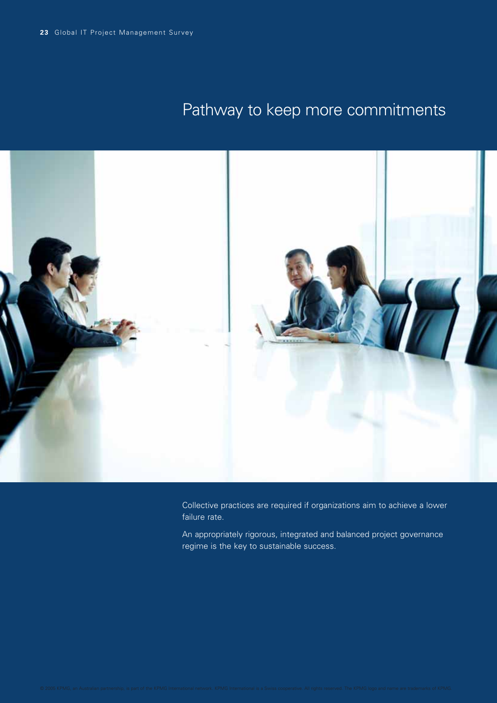# Pathway to keep more commitments

<span id="page-25-0"></span>

Collective practices are required if organizations aim to achieve a lower failure rate.

An appropriately rigorous, integrated and balanced project governance regime is the key to sustainable success.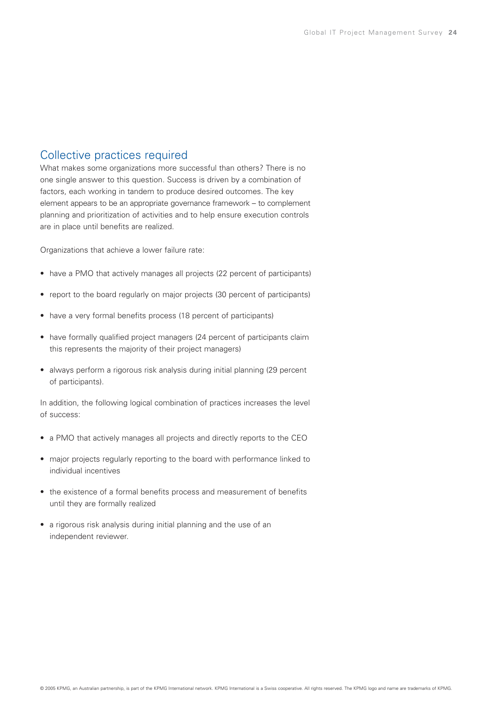## Collective practices required

What makes some organizations more successful than others? There is no one single answer to this question. Success is driven by a combination of factors, each working in tandem to produce desired outcomes. The key element appears to be an appropriate governance framework – to complement planning and prioritization of activities and to help ensure execution controls are in place until benefits are realized.

Organizations that achieve a lower failure rate:

- have a PMO that actively manages all projects (22 percent of participants)
- report to the board regularly on major projects (30 percent of participants)
- have a very formal benefits process (18 percent of participants)
- have formally qualified project managers (24 percent of participants claim this represents the majority of their project managers)
- always perform a rigorous risk analysis during initial planning (29 percent of participants).

In addition, the following logical combination of practices increases the level of success:

- a PMO that actively manages all projects and directly reports to the CEO
- major projects regularly reporting to the board with performance linked to individual incentives
- the existence of a formal benefits process and measurement of benefits until they are formally realized
- a rigorous risk analysis during initial planning and the use of an independent reviewer.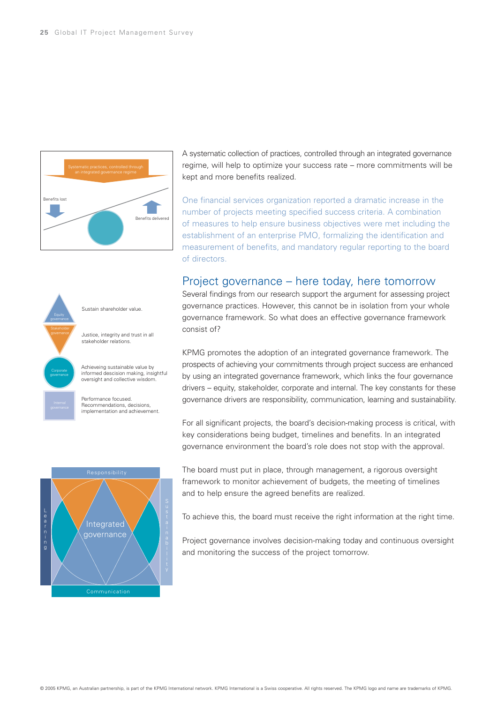





A systematic collection of practices, controlled through an integrated governance regime, will help to optimize your success rate – more commitments will be kept and more benefits realized.

One financial services organization reported a dramatic increase in the number of projects meeting specified success criteria. A combination of measures to help ensure business objectives were met including the establishment of an enterprise PMO, formalizing the identification and measurement of benefits, and mandatory regular reporting to the board of directors.

### Project governance – here today, here tomorrow

Several findings from our research support the argument for assessing project governance practices. However, this cannot be in isolation from your whole governance framework. So what does an effective governance framework consist of?

KPMG promotes the adoption of an integrated governance framework. The prospects of achieving your commitments through project success are enhanced by using an integrated governance framework, which links the four governance drivers – equity, stakeholder, corporate and internal. The key constants for these governance drivers are responsibility, communication, learning and sustainability.

For all significant projects, the board's decision-making process is critical, with key considerations being budget, timelines and benefits. In an integrated governance environment the board's role does not stop with the approval.

The board must put in place, through management, a rigorous oversight framework to monitor achievement of budgets, the meeting of timelines and to help ensure the agreed benefits are realized.

To achieve this, the board must receive the right information at the right time.

Project governance involves decision-making today and continuous oversight and monitoring the success of the project tomorrow.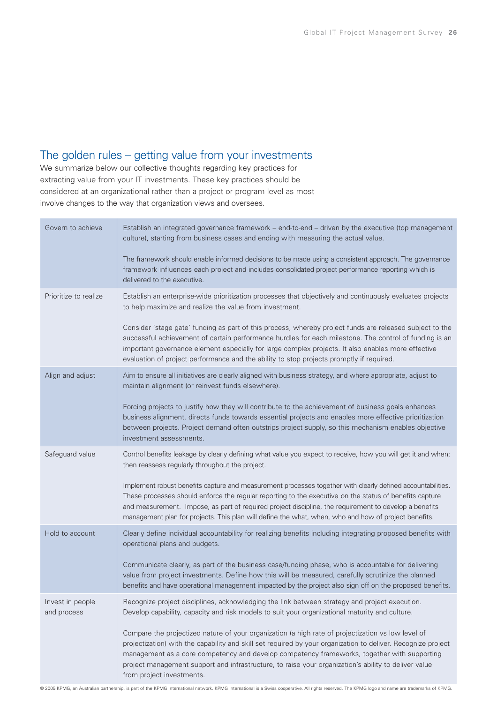## The golden rules – getting value from your investments

We summarize below our collective thoughts regarding key practices for extracting value from your IT investments. These key practices should be considered at an organizational rather than a project or program level as most involve changes to the way that organization views and oversees.

| Govern to achieve               | Establish an integrated governance framework – end-to-end – driven by the executive (top management<br>culture), starting from business cases and ending with measuring the actual value.                                                                                                                                                                                                                                                               |
|---------------------------------|---------------------------------------------------------------------------------------------------------------------------------------------------------------------------------------------------------------------------------------------------------------------------------------------------------------------------------------------------------------------------------------------------------------------------------------------------------|
|                                 | The framework should enable informed decisions to be made using a consistent approach. The governance<br>framework influences each project and includes consolidated project performance reporting which is<br>delivered to the executive.                                                                                                                                                                                                              |
| Prioritize to realize           | Establish an enterprise-wide prioritization processes that objectively and continuously evaluates projects<br>to help maximize and realize the value from investment.                                                                                                                                                                                                                                                                                   |
|                                 | Consider 'stage gate' funding as part of this process, whereby project funds are released subject to the<br>successful achievement of certain performance hurdles for each milestone. The control of funding is an<br>important governance element especially for large complex projects. It also enables more effective<br>evaluation of project performance and the ability to stop projects promptly if required.                                    |
| Align and adjust                | Aim to ensure all initiatives are clearly aligned with business strategy, and where appropriate, adjust to<br>maintain alignment (or reinvest funds elsewhere).                                                                                                                                                                                                                                                                                         |
|                                 | Forcing projects to justify how they will contribute to the achievement of business goals enhances<br>business alignment, directs funds towards essential projects and enables more effective prioritization<br>between projects. Project demand often outstrips project supply, so this mechanism enables objective<br>investment assessments.                                                                                                         |
| Safeguard value                 | Control benefits leakage by clearly defining what value you expect to receive, how you will get it and when;<br>then reassess regularly throughout the project.                                                                                                                                                                                                                                                                                         |
|                                 | Implement robust benefits capture and measurement processes together with clearly defined accountabilities.<br>These processes should enforce the regular reporting to the executive on the status of benefits capture<br>and measurement. Impose, as part of required project discipline, the requirement to develop a benefits<br>management plan for projects. This plan will define the what, when, who and how of project benefits.                |
| Hold to account                 | Clearly define individual accountability for realizing benefits including integrating proposed benefits with<br>operational plans and budgets.                                                                                                                                                                                                                                                                                                          |
|                                 | Communicate clearly, as part of the business case/funding phase, who is accountable for delivering<br>value from project investments. Define how this will be measured, carefully scrutinize the planned<br>benefits and have operational management impacted by the project also sign off on the proposed benefits.                                                                                                                                    |
| Invest in people<br>and process | Recognize project disciplines, acknowledging the link between strategy and project execution.<br>Develop capability, capacity and risk models to suit your organizational maturity and culture.                                                                                                                                                                                                                                                         |
|                                 | Compare the projectized nature of your organization (a high rate of projectization vs low level of<br>projectization) with the capability and skill set required by your organization to deliver. Recognize project<br>management as a core competency and develop competency frameworks, together with supporting<br>project management support and infrastructure, to raise your organization's ability to deliver value<br>from project investments. |

© 2005 KPMG, an Australian partnership, is part of the KPMG International network. KPMG International is a Swiss cooperative. All rights reserved. The KPMG logo and name are trademarks of KPMG.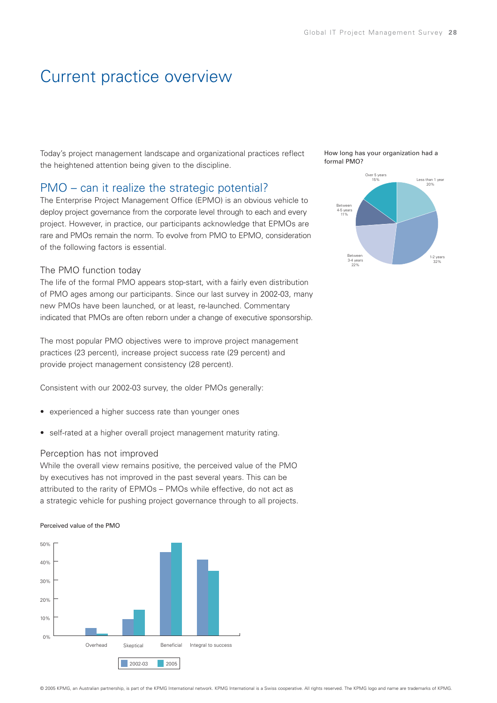## <span id="page-30-0"></span>Current practice overview

Today's project management landscape and organizational practices reflect the heightened attention being given to the discipline.

## PMO – can it realize the strategic potential?

The Enterprise Project Management Office (EPMO) is an obvious vehicle to deploy project governance from the corporate level through to each and every project. However, in practice, our participants acknowledge that EPMOs are rare and PMOs remain the norm. To evolve from PMO to EPMO, consideration of the following factors is essential.

### The PMO function today

The life of the formal PMO appears stop-start, with a fairly even distribution of PMO ages among our participants. Since our last survey in 2002-03, many new PMOs have been launched, or at least, re-launched. Commentary indicated that PMOs are often reborn under a change of executive sponsorship.

The most popular PMO objectives were to improve project management practices (23 percent), increase project success rate (29 percent) and provide project management consistency (28 percent).

Consistent with our 2002-03 survey, the older PMOs generally:

- experienced a higher success rate than younger ones
- self-rated at a higher overall project management maturity rating.

### Perception has not improved

While the overall view remains positive, the perceived value of the PMO by executives has not improved in the past several years. This can be attributed to the rarity of EPMOs – PMOs while effective, do not act as a strategic vehicle for pushing project governance through to all projects.

#### Perceived value of the PMO



#### How long has your organization had a formal PMO?

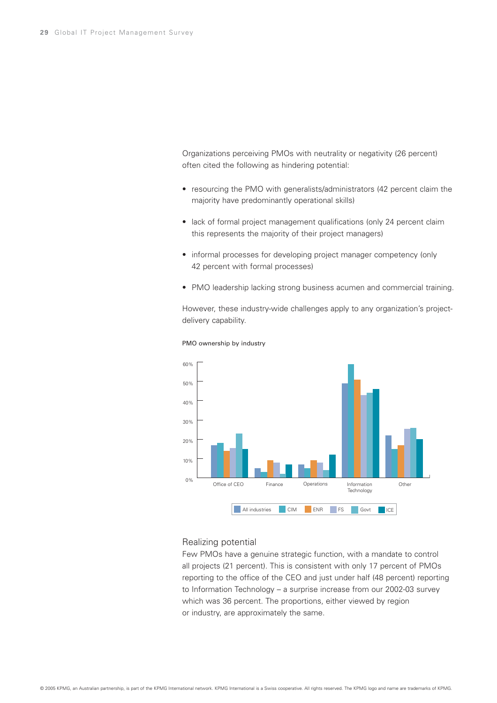Organizations perceiving PMOs with neutrality or negativity (26 percent) often cited the following as hindering potential:

- resourcing the PMO with generalists/administrators (42 percent claim the majority have predominantly operational skills)
- lack of formal project management qualifications (only 24 percent claim this represents the majority of their project managers)
- informal processes for developing project manager competency (only 42 percent with formal processes)
- PMO leadership lacking strong business acumen and commercial training.

However, these industry-wide challenges apply to any organization's projectdelivery capability.



#### PMO ownership by industry

#### Realizing potential

Few PMOs have a genuine strategic function, with a mandate to control all projects (21 percent). This is consistent with only 17 percent of PMOs reporting to the office of the CEO and just under half (48 percent) reporting to Information Technology – a surprise increase from our 2002-03 survey which was 36 percent. The proportions, either viewed by region or industry, are approximately the same.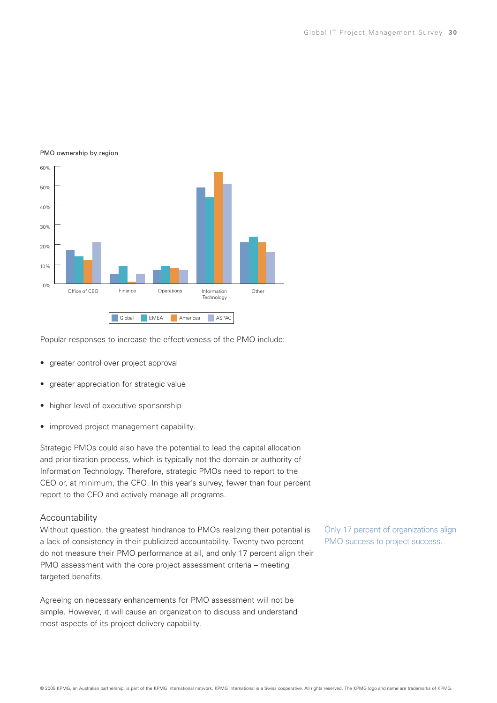

#### PMO ownership by region

Popular responses to increase the effectiveness of the PMO include:

- greater control over project approval
- greater appreciation for strategic value
- higher level of executive sponsorship
- improved project management capability.

Strategic PMOs could also have the potential to lead the capital allocation and prioritization process, which is typically not the domain or authority of Information Technology. Therefore, strategic PMOs need to report to the CEO or, at minimum, the CFO. In this year's survey, fewer than four percent report to the CEO and actively manage all programs.

#### Accountability

Without question, the greatest hindrance to PMOs realizing their potential is a lack of consistency in their publicized accountability. Twenty-two percent do not measure their PMO performance at all, and only 17 percent align their PMO assessment with the core project assessment criteria – meeting targeted benefits.

Agreeing on necessary enhancements for PMO assessment will not be simple. However, it will cause an organization to discuss and understand most aspects of its project-delivery capability.

Only 17 percent of organizations align PMO success to project success.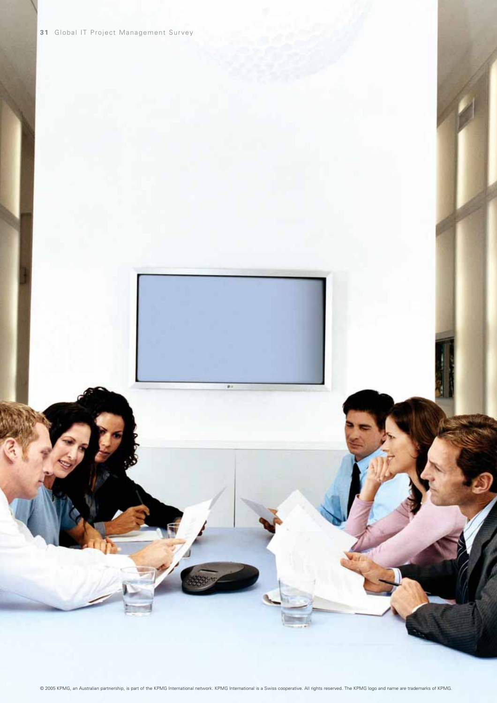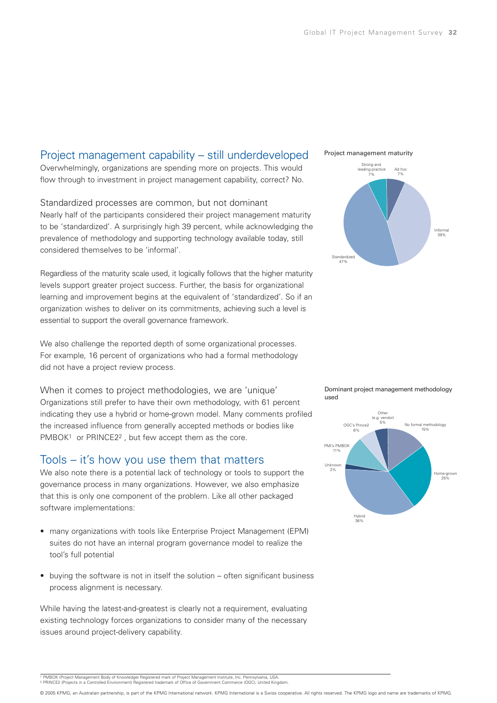## Project management capability – still underdeveloped

Overwhelmingly, organizations are spending more on projects. This would flow through to investment in project management capability, correct? No.

Standardized processes are common, but not dominant Nearly half of the participants considered their project management maturity to be 'standardized'. A surprisingly high 39 percent, while acknowledging the prevalence of methodology and supporting technology available today, still considered themselves to be 'informal'.

Regardless of the maturity scale used, it logically follows that the higher maturity levels support greater project success. Further, the basis for organizational learning and improvement begins at the equivalent of 'standardized'. So if an organization wishes to deliver on its commitments, achieving such a level is essential to support the overall governance framework.

We also challenge the reported depth of some organizational processes. For example, 16 percent of organizations who had a formal methodology did not have a project review process.

When it comes to project methodologies, we are 'unique' Organizations still prefer to have their own methodology, with 61 percent indicating they use a hybrid or home-grown model. Many comments profiled the increased influence from generally accepted methods or bodies like PMBOK<sup>1</sup> or PRINCE2<sup>2</sup>. but few accept them as the core.

## Tools – it's how you use them that matters

We also note there is a potential lack of technology or tools to support the governance process in many organizations. However, we also emphasize that this is only one component of the problem. Like all other packaged software implementations:

- many organizations with tools like Enterprise Project Management (EPM) suites do not have an internal program governance model to realize the tool's full potential
- buying the software is not in itself the solution often significant business process alignment is necessary.

While having the latest-and-greatest is clearly not a requirement, evaluating existing technology forces organizations to consider many of the necessary issues around project-delivery capability.

Project management maturity







1 PMBOK (Project Management Body of Knowledge) Registered mark of Project Management Institute, Inc. Pennsylvania, USA.<br>2 PRINCE2 (Projects in a Controlled Environment) Registered trademark of Office of Government Commerce

© 2005 KPMG, an Australian partnership, is part of the KPMG International network. KPMG International is a Swiss cooperative. All rights reserved. The KPMG logo and name are trademarks of KPMG.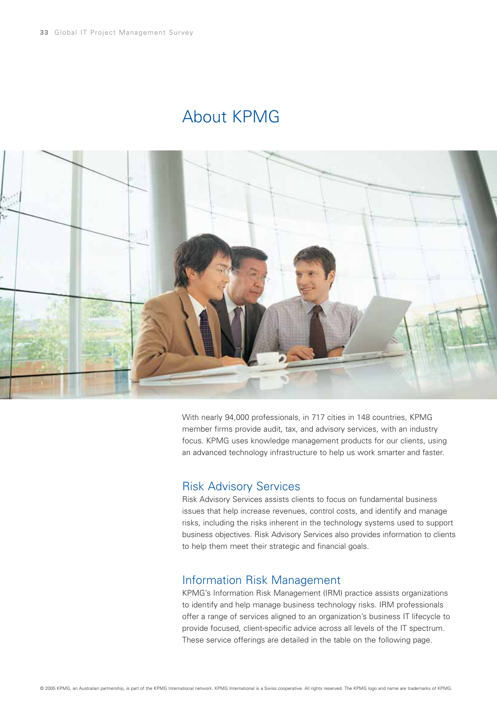## About KPMG

<span id="page-35-0"></span>

With nearly 94,000 professionals, in 717 cities in 148 countries, KPMG member firms provide audit, tax, and advisory services, with an industry focus. KPMG uses knowledge management products for our clients, using an advanced technology infrastructure to help us work smarter and faster.

## Risk Advisory Services

Risk Advisory Services assists clients to focus on fundamental business issues that help increase revenues, control costs, and identify and manage risks, including the risks inherent in the technology systems used to support business objectives. Risk Advisory Services also provides information to clients to help them meet their strategic and financial goals.

## Information Risk Management

KPMG's Information Risk Management (IRM) practice assists organizations to identify and help manage business technology risks. IRM professionals offer a range of services aligned to an organization's business IT lifecycle to provide focused, client-specific advice across all levels of the IT spectrum. These service offerings are detailed in the table on the following page.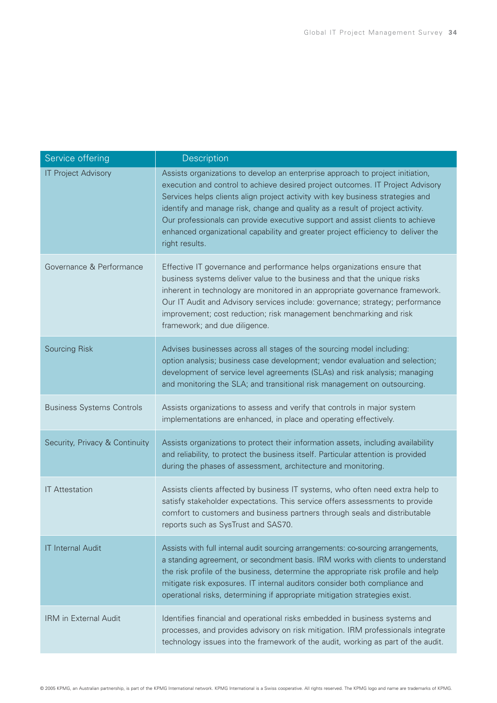| Service offering                 | <b>Description</b>                                                                                                                                                                                                                                                                                                                                                                                                                                                                                                         |
|----------------------------------|----------------------------------------------------------------------------------------------------------------------------------------------------------------------------------------------------------------------------------------------------------------------------------------------------------------------------------------------------------------------------------------------------------------------------------------------------------------------------------------------------------------------------|
| <b>IT Project Advisory</b>       | Assists organizations to develop an enterprise approach to project initiation,<br>execution and control to achieve desired project outcomes. IT Project Advisory<br>Services helps clients align project activity with key business strategies and<br>identify and manage risk, change and quality as a result of project activity.<br>Our professionals can provide executive support and assist clients to achieve<br>enhanced organizational capability and greater project efficiency to deliver the<br>right results. |
| Governance & Performance         | Effective IT governance and performance helps organizations ensure that<br>business systems deliver value to the business and that the unique risks<br>inherent in technology are monitored in an appropriate governance framework.<br>Our IT Audit and Advisory services include: governance; strategy; performance<br>improvement; cost reduction; risk management benchmarking and risk<br>framework; and due diligence.                                                                                                |
| <b>Sourcing Risk</b>             | Advises businesses across all stages of the sourcing model including:<br>option analysis; business case development; vendor evaluation and selection;<br>development of service level agreements (SLAs) and risk analysis; managing<br>and monitoring the SLA; and transitional risk management on outsourcing.                                                                                                                                                                                                            |
| <b>Business Systems Controls</b> | Assists organizations to assess and verify that controls in major system<br>implementations are enhanced, in place and operating effectively.                                                                                                                                                                                                                                                                                                                                                                              |
| Security, Privacy & Continuity   | Assists organizations to protect their information assets, including availability<br>and reliability, to protect the business itself. Particular attention is provided<br>during the phases of assessment, architecture and monitoring.                                                                                                                                                                                                                                                                                    |
| <b>IT Attestation</b>            | Assists clients affected by business IT systems, who often need extra help to<br>satisfy stakeholder expectations. This service offers assessments to provide<br>comfort to customers and business partners through seals and distributable<br>reports such as SysTrust and SAS70.                                                                                                                                                                                                                                         |
| <b>IT Internal Audit</b>         | Assists with full internal audit sourcing arrangements: co-sourcing arrangements,<br>a standing agreement, or secondment basis. IRM works with clients to understand<br>the risk profile of the business, determine the appropriate risk profile and help<br>mitigate risk exposures. IT internal auditors consider both compliance and<br>operational risks, determining if appropriate mitigation strategies exist.                                                                                                      |
| <b>IRM</b> in External Audit     | Identifies financial and operational risks embedded in business systems and<br>processes, and provides advisory on risk mitigation. IRM professionals integrate<br>technology issues into the framework of the audit, working as part of the audit.                                                                                                                                                                                                                                                                        |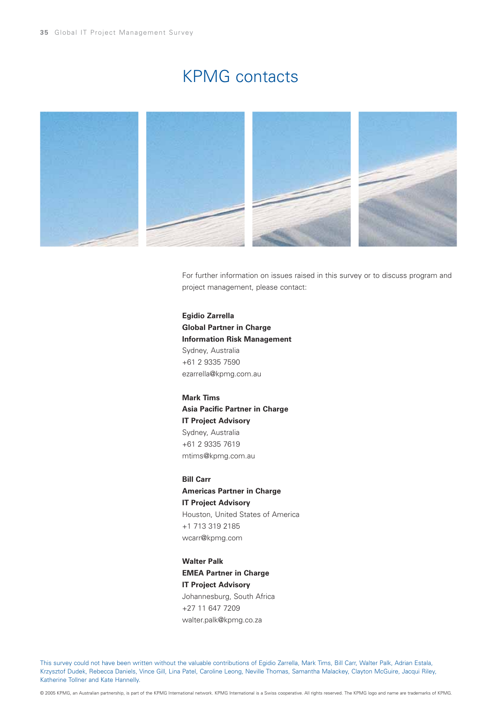# KPMG contacts

<span id="page-37-0"></span>

For further information on issues raised in this survey or to discuss program and project management, please contact:

**Egidio Zarrella Global Partner in Charge Information Risk Management**  Sydney, Australia +61 2 9335 7590 ezarrella@kpmg.com.au

**Mark Tims Asia Pacific Partner in Charge IT Project Advisory**  Sydney, Australia +61 2 9335 7619 mtims@kpmg.com.au

**Bill Carr Americas Partner in Charge IT Project Advisory**  Houston, United States of America +1 713 319 2185 wcarr@kpmg.com

**Walter Palk EMEA Partner in Charge IT Project Advisory**  Johannesburg, South Africa +27 11 647 7209 walter.palk@kpmg.co.za

This survey could not have been written without the valuable contributions of Egidio Zarrella, Mark Tims, Bill Carr, Walter Palk, Adrian Estala, Krzysztof Dudek, Rebecca Daniels, Vince Gill, Lina Patel, Caroline Leong, Neville Thomas, Samantha Malackey, Clayton McGuire, Jacqui Riley, Katherine Tollner and Kate Hannelly.

© 2005 KPMG, an Australian partnership, is part of the KPMG International network. KPMG International is a Swiss cooperative. All rights reserved. The KPMG logo and name are trademarks of KPMG.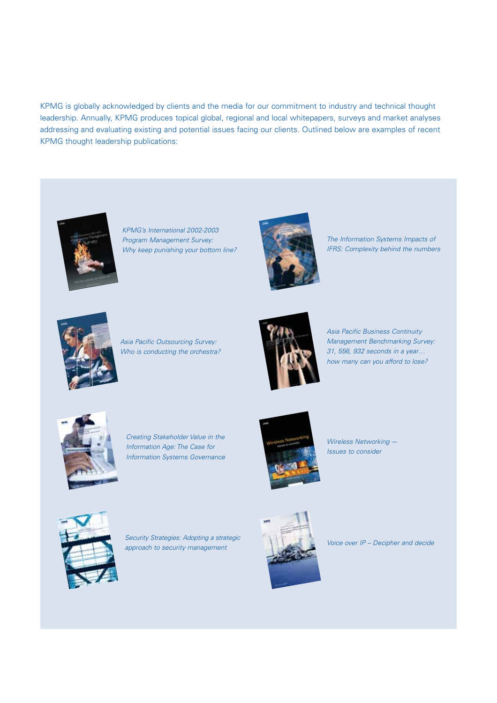## KPMG is globally acknowledged by clients and the media for our commitment to industry and technical thought leadership. Annually, KPMG produces topical global, regional and local whitepapers, surveys and market analyses addressing and evaluating existing and potential issues facing our clients. Outlined below are examples of recent KPMG thought leadership publications:



KPMG's International 2002-2003 Program Management Survey: Why keep punishing your bottom line?



The Information Systems Impacts of IFRS: Complexity behind the numbers



Asia Pacific Outsourcing Survey: Who is conducting the orchestra?



Asia Pacific Business Continuity Management Benchmarking Survey: 31, 556, 932 seconds in a year… how many can you afford to lose?



Creating Stakeholder Value in the Information Age: The Case for Information Systems Governance



Wireless Networking -Issues to consider



Security Strategies: Adopting a strategic approach to security management



Voice over IP – Decipher and decide